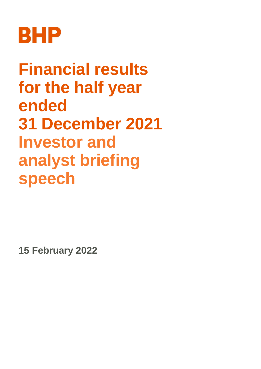

**Financial results for the half year ended 31 December 2021 Investor and analyst briefing speech**

**15 February 2022**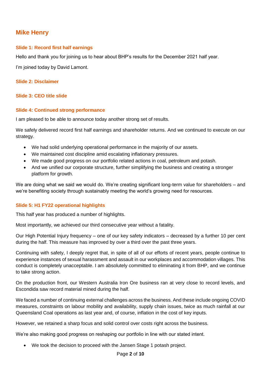# **Mike Henry**

## **Slide 1: Record first half earnings**

Hello and thank you for joining us to hear about BHP's results for the December 2021 half year.

I'm joined today by David Lamont.

#### **Slide 2: Disclaimer**

## **Slide 3: CEO title slide**

#### **Slide 4: Continued strong performance**

I am pleased to be able to announce today another strong set of results.

We safely delivered record first half earnings and shareholder returns. And we continued to execute on our strategy.

- We had solid underlying operational performance in the majority of our assets.
- We maintained cost discipline amid escalating inflationary pressures.
- We made good progress on our portfolio related actions in coal, petroleum and potash.
- And we unified our corporate structure, further simplifying the business and creating a stronger platform for growth.

We are doing what we said we would do. We're creating significant long-term value for shareholders – and we're benefiting society through sustainably meeting the world's growing need for resources.

## **Slide 5: H1 FY22 operational highlights**

This half year has produced a number of highlights.

Most importantly, we achieved our third consecutive year without a fatality.

Our High Potential Injury frequency – one of our key safety indicators – decreased by a further 10 per cent during the half. This measure has improved by over a third over the past three years.

Continuing with safety, I deeply regret that, in spite of all of our efforts of recent years, people continue to experience instances of sexual harassment and assault in our workplaces and accommodation villages. This conduct is completely unacceptable. I am absolutely committed to eliminating it from BHP, and we continue to take strong action.

On the production front, our Western Australia Iron Ore business ran at very close to record levels, and Escondida saw record material mined during the half.

We faced a number of continuing external challenges across the business. And these include ongoing COVID measures, constraints on labour mobility and availability, supply chain issues, twice as much rainfall at our Queensland Coal operations as last year and, of course, inflation in the cost of key inputs.

However, we retained a sharp focus and solid control over costs right across the business.

We're also making good progress on reshaping our portfolio in line with our stated intent.

We took the decision to proceed with the Jansen Stage 1 potash project.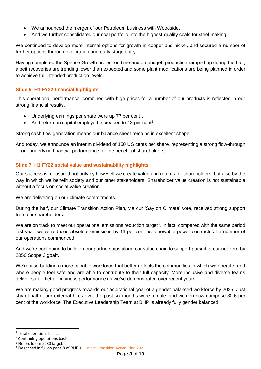- We announced the merger of our Petroleum business with Woodside.
- And we further consolidated our coal portfolio into the highest-quality coals for steel-making.

We continued to develop more internal options for growth in copper and nickel, and secured a number of further options through exploration and early stage entry.

Having completed the Spence Growth project on time and on budget, production ramped up during the half, albeit recoveries are trending lower than expected and some plant modifications are being planned in order to achieve full intended production levels.

## **Slide 6: H1 FY22 financial highlights**

This operational performance, combined with high prices for a number of our products is reflected in our strong financial results.

- $\bullet$  Underlying earnings per share were up 77 per cent<sup>1</sup>.
- And return on capital employed increased to 43 per cent<sup>2</sup>.

Strong cash flow generation means our balance sheet remains in excellent shape.

And today, we announce an interim dividend of 150 US cents per share, representing a strong flow-through of our underlying financial performance for the benefit of shareholders.

# **Slide 7: H1 FY22 social value and sustainability highlights**

Our success is measured not only by how well we create value and returns for shareholders, but also by the way in which we benefit society and our other stakeholders. Shareholder value creation is not sustainable without a focus on social value creation.

We are delivering on our climate commitments.

During the half, our Climate Transition Action Plan, via our 'Say on Climate' vote, received strong support from our shareholders.

We are on track to meet our operational emissions reduction target<sup>3</sup>. In fact, compared with the same period last year, we've reduced absolute emissions by 16 per cent as renewable power contracts at a number of our operations commenced.

And we're continuing to build on our partnerships along our value chain to support pursuit of our net zero by 2050 Scope 3 goal<sup>4</sup>.

We're also building a more capable workforce that better reflects the communities in which we operate, and where people feel safe and are able to contribute to their full capacity. More inclusive and diverse teams deliver safer, better business performance as we've demonstrated over recent years.

We are making good progress towards our aspirational goal of a gender balanced workforce by 2025. Just shy of half of our external hires over the past six months were female, and women now comprise 30.6 per cent of the workforce. The Executive Leadership Team at BHP is already fully gender balanced.

-

<sup>&</sup>lt;sup>1</sup> Total operations basis.

<sup>2</sup> Continuing operations basis.

<sup>&</sup>lt;sup>3</sup> Refers to our 2030 target.

<sup>4</sup> Described in full on page 8 of BHP's [Climate Transition Action Plan 2021.](https://www.bhp.com/-/media/documents/investors/annual-reports/2021/210914_bhpclimatetransitionactionplan2021.pdf)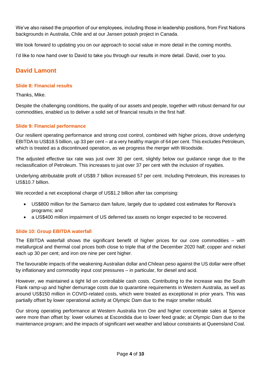We've also raised the proportion of our employees, including those in leadership positions, from First Nations backgrounds in Australia, Chile and at our Jansen potash project in Canada.

We look forward to updating you on our approach to social value in more detail in the coming months.

I'd like to now hand over to David to take you through our results in more detail. David, over to you.

# **David Lamont**

### **Slide 8: Financial results**

Thanks, Mike.

Despite the challenging conditions, the quality of our assets and people, together with robust demand for our commodities, enabled us to deliver a solid set of financial results in the first half.

## **Slide 9: Financial performance**

Our resilient operating performance and strong cost control, combined with higher prices, drove underlying EBITDA to US\$18.5 billion, up 33 per cent – at a very healthy margin of 64 per cent. This excludes Petroleum, which is treated as a discontinued operation, as we progress the merger with Woodside.

The adjusted effective tax rate was just over 30 per cent, slightly below our guidance range due to the reclassification of Petroleum. This increases to just over 37 per cent with the inclusion of royalties.

Underlying attributable profit of US\$9.7 billion increased 57 per cent. Including Petroleum, this increases to US\$10.7 billion.

We recorded a net exceptional charge of US\$1.2 billion after tax comprising:

- US\$800 million for the Samarco dam failure, largely due to updated cost estimates for Renova's programs; and
- a US\$400 million impairment of US deferred tax assets no longer expected to be recovered.

## **Slide 10: Group EBITDA waterfall**

The EBITDA waterfall shows the significant benefit of higher prices for our core commodities – with metallurgical and thermal coal prices both close to triple that of the December 2020 half; copper and nickel each up 30 per cent; and iron ore nine per cent higher.

The favourable impacts of the weakening Australian dollar and Chilean peso against the US dollar were offset by inflationary and commodity input cost pressures – in particular, for diesel and acid.

However, we maintained a tight lid on controllable cash costs. Contributing to the increase was the South Flank ramp-up and higher demurrage costs due to quarantine requirements in Western Australia, as well as around US\$150 million in COVID-related costs, which were treated as exceptional in prior years. This was partially offset by lower operational activity at Olympic Dam due to the major smelter rebuild.

Our strong operating performance at Western Australia Iron Ore and higher concentrate sales at Spence were more than offset by: lower volumes at Escondida due to lower feed grade; at Olympic Dam due to the maintenance program; and the impacts of significant wet weather and labour constraints at Queensland Coal.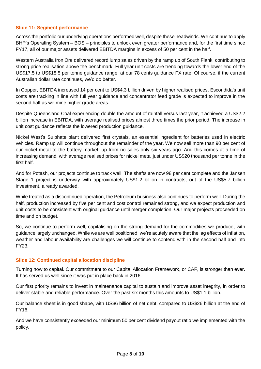#### **Slide 11: Segment performance**

Across the portfolio our underlying operations performed well, despite these headwinds. We continue to apply BHP's Operating System – BOS – principles to unlock even greater performance and, for the first time since FY17, all of our major assets delivered EBITDA margins in excess of 50 per cent in the half.

Western Australia Iron Ore delivered record lump sales driven by the ramp up of South Flank, contributing to strong price realisation above the benchmark. Full year unit costs are trending towards the lower end of the US\$17.5 to US\$18.5 per tonne guidance range, at our 78 cents guidance FX rate. Of course, if the current Australian dollar rate continues, we'd do better.

In Copper, EBITDA increased 14 per cent to US\$4.3 billion driven by higher realised prices. Escondida's unit costs are tracking in line with full year guidance and concentrator feed grade is expected to improve in the second half as we mine higher grade areas.

Despite Queensland Coal experiencing double the amount of rainfall versus last year, it achieved a US\$2.2 billion increase in EBITDA, with average realised prices almost three times the prior period. The increase in unit cost guidance reflects the lowered production guidance.

Nickel West's Sulphate plant delivered first crystals, an essential ingredient for batteries used in electric vehicles. Ramp up will continue throughout the remainder of the year. We now sell more than 90 per cent of our nickel metal to the battery market, up from no sales only six years ago. And this comes at a time of increasing demand, with average realised prices for nickel metal just under US\$20 thousand per tonne in the first half.

And for Potash, our projects continue to track well. The shafts are now 98 per cent complete and the Jansen Stage 1 project is underway with approximately US\$1.2 billion in contracts, out of the US\$5.7 billion investment, already awarded.

While treated as a discontinued operation, the Petroleum business also continues to perform well. During the half, production increased by five per cent and cost control remained strong, and we expect production and unit costs to be consistent with original guidance until merger completion. Our major projects proceeded on time and on budget.

So, we continue to perform well, capitalising on the strong demand for the commodities we produce, with guidance largely unchanged. While we are well positioned, we're acutely aware that the lag effects of inflation, weather and labour availability are challenges we will continue to contend with in the second half and into FY23.

#### **Slide 12: Continued capital allocation discipline**

Turning now to capital. Our commitment to our Capital Allocation Framework, or CAF, is stronger than ever. It has served us well since it was put in place back in 2016.

Our first priority remains to invest in maintenance capital to sustain and improve asset integrity, in order to deliver stable and reliable performance. Over the past six months this amounts to US\$1.1 billion.

Our balance sheet is in good shape, with US\$6 billion of net debt, compared to US\$26 billion at the end of FY16.

And we have consistently exceeded our minimum 50 per cent dividend payout ratio we implemented with the policy.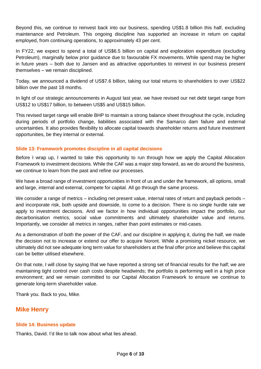Beyond this, we continue to reinvest back into our business, spending US\$1.8 billion this half, excluding maintenance and Petroleum. This ongoing discipline has supported an increase in return on capital employed, from continuing operations, to approximately 43 per cent.

In FY22, we expect to spend a total of US\$6.5 billion on capital and exploration expenditure (excluding Petroleum), marginally below prior guidance due to favourable FX movements. While spend may be higher in future years – both due to Jansen and as attractive opportunities to reinvest in our business present themselves – we remain disciplined.

Today, we announced a dividend of US\$7.6 billion, taking our total returns to shareholders to over US\$22 billion over the past 18 months.

In light of our strategic announcements in August last year, we have revised our net debt target range from US\$12 to US\$17 billion, to between US\$5 and US\$15 billion.

This revised target range will enable BHP to maintain a strong balance sheet throughout the cycle, including during periods of portfolio change, liabilities associated with the Samarco dam failure and external uncertainties. It also provides flexibility to allocate capital towards shareholder returns and future investment opportunities, be they internal or external.

## **Slide 13: Framework promotes discipline in all capital decisions**

Before I wrap up, I wanted to take this opportunity to run through how we apply the Capital Allocation Framework to investment decisions. While the CAF was a major step forward, as we do around the business, we continue to learn from the past and refine our processes.

We have a broad range of investment opportunities in front of us and under the framework, all options, small and large, internal and external, compete for capital. All go through the same process.

We consider a range of metrics – including net present value, internal rates of return and payback periods – and incorporate risk, both upside and downside, to come to a decision. There is no single hurdle rate we apply to investment decisions. And we factor in how individual opportunities impact the portfolio, our decarbonisation metrics, social value commitments and ultimately shareholder value and returns. Importantly, we consider all metrics in ranges, rather than point estimates or mid-cases.

As a demonstration of both the power of the CAF, and our discipline in applying it, during the half, we made the decision not to increase or extend our offer to acquire Noront. While a promising nickel resource, we ultimately did not see adequate long term value for shareholders at the final offer price and believe this capital can be better utilised elsewhere.

On that note, I will close by saying that we have reported a strong set of financial results for the half; we are maintaining tight control over cash costs despite headwinds; the portfolio is performing well in a high price environment; and we remain committed to our Capital Allocation Framework to ensure we continue to generate long-term shareholder value.

Thank you. Back to you, Mike.

# **Mike Henry**

## **Slide 14: Business update**

Thanks, David. I'd like to talk now about what lies ahead.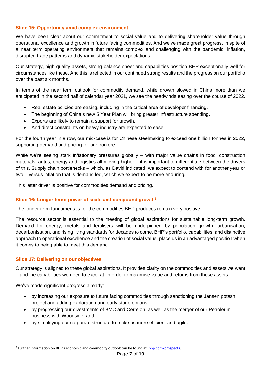## **Slide 15: Opportunity amid complex environment**

We have been clear about our commitment to social value and to delivering shareholder value through operational excellence and growth in future facing commodities. And we've made great progress, in spite of a near term operating environment that remains complex and challenging with the pandemic, inflation, disrupted trade patterns and dynamic stakeholder expectations.

Our strategy, high-quality assets, strong balance sheet and capabilities position BHP exceptionally well for circumstances like these. And this is reflected in our continued strong results and the progress on our portfolio over the past six months.

In terms of the near term outlook for commodity demand, while growth slowed in China more than we anticipated in the second half of calendar year 2021, we see the headwinds easing over the course of 2022.

- Real estate policies are easing, including in the critical area of developer financing.
- The beginning of China's new 5 Year Plan will bring greater infrastructure spending.
- Exports are likely to remain a support for growth.
- And direct constraints on heavy industry are expected to ease.

For the fourth year in a row, our mid-case is for Chinese steelmaking to exceed one billion tonnes in 2022, supporting demand and pricing for our iron ore.

While we're seeing stark inflationary pressures globally – with major value chains in food, construction materials, autos, energy and logistics all moving higher – it is important to differentiate between the drivers of this. Supply chain bottlenecks – which, as David indicated, we expect to contend with for another year or two – versus inflation that is demand led, which we expect to be more enduring.

This latter driver is positive for commodities demand and pricing.

## **Slide 16: Longer term: power of scale and compound growth<sup>5</sup>**

The longer term fundamentals for the commodities BHP produces remain very positive.

The resource sector is essential to the meeting of global aspirations for sustainable long-term growth. Demand for energy, metals and fertilisers will be underpinned by population growth, urbanisation, decarbonisation, and rising living standards for decades to come. BHP's portfolio, capabilities, and distinctive approach to operational excellence and the creation of social value, place us in an advantaged position when it comes to being able to meet this demand.

## **Slide 17: Delivering on our objectives**

Our strategy is aligned to these global aspirations. It provides clarity on the commodities and assets we want – and the capabilities we need to excel at, in order to maximise value and returns from these assets.

We've made significant progress already:

-

- by increasing our exposure to future facing commodities through sanctioning the Jansen potash project and adding exploration and early stage options;
- by progressing our divestments of BMC and Cerrejon, as well as the merger of our Petroleum business with Woodside; and
- by simplifying our corporate structure to make us more efficient and agile.

<sup>5</sup> Further information on BHP's economic and commodity outlook can be found at: [bhp.com/prospects.](https://www.bhp.com/news/prospects)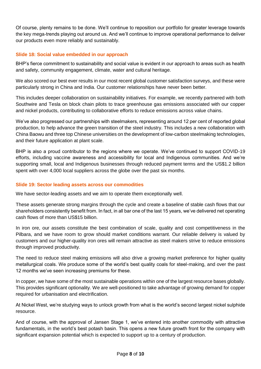Of course, plenty remains to be done. We'll continue to reposition our portfolio for greater leverage towards the key mega-trends playing out around us. And we'll continue to improve operational performance to deliver our products even more reliably and sustainably.

## **Slide 18: Social value embedded in our approach**

BHP's fierce commitment to sustainability and social value is evident in our approach to areas such as health and safety, community engagement, climate, water and cultural heritage.

We also scored our best ever results in our most recent global customer satisfaction surveys, and these were particularly strong in China and India. Our customer relationships have never been better.

This includes deeper collaboration on sustainability initiatives. For example, we recently partnered with both Southwire and Tesla on block chain pilots to trace greenhouse gas emissions associated with our copper and nickel products, contributing to collaborative efforts to reduce emissions across value chains.

We've also progressed our partnerships with steelmakers, representing around 12 per cent of reported global production, to help advance the green transition of the steel industry. This includes a new collaboration with China Baowu and three top Chinese universities on the development of low-carbon steelmaking technologies, and their future application at plant scale.

BHP is also a proud contributor to the regions where we operate. We've continued to support COVID-19 efforts, including vaccine awareness and accessibility for local and Indigenous communities. And we're supporting small, local and Indigenous businesses through reduced payment terms and the US\$1.2 billion spent with over 4,000 local suppliers across the globe over the past six months.

#### **Slide 19: Sector leading assets across our commodities**

We have sector-leading assets and we aim to operate them exceptionally well.

These assets generate strong margins through the cycle and create a baseline of stable cash flows that our shareholders consistently benefit from. In fact, in all bar one of the last 15 years, we've delivered net operating cash flows of more than US\$15 billion.

In iron ore, our assets constitute the best combination of scale, quality and cost competitiveness in the Pilbara, and we have room to grow should market conditions warrant. Our reliable delivery is valued by customers and our higher-quality iron ores will remain attractive as steel makers strive to reduce emissions through improved productivity.

The need to reduce steel making emissions will also drive a growing market preference for higher quality metallurgical coals. We produce some of the world's best quality coals for steel-making, and over the past 12 months we've seen increasing premiums for these.

In copper, we have some of the most sustainable operations within one of the largest resource bases globally. This provides significant optionality. We are well-positioned to take advantage of growing demand for copper required for urbanisation and electrification.

At Nickel West, we're studying ways to unlock growth from what is the world's second largest nickel sulphide resource.

And of course, with the approval of Jansen Stage 1, we've entered into another commodity with attractive fundamentals, in the world's best potash basin. This opens a new future growth front for the company with significant expansion potential which is expected to support up to a century of production.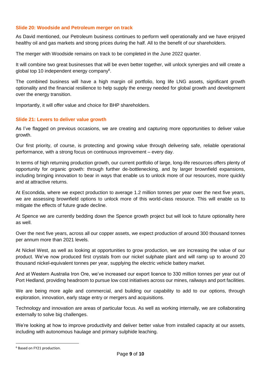## **Slide 20: Woodside and Petroleum merger on track**

As David mentioned, our Petroleum business continues to perform well operationally and we have enjoyed healthy oil and gas markets and strong prices during the half. All to the benefit of our shareholders.

The merger with Woodside remains on track to be completed in the June 2022 quarter.

It will combine two great businesses that will be even better together, will unlock synergies and will create a global top 10 independent energy company<sup>6</sup>.

The combined business will have a high margin oil portfolio, long life LNG assets, significant growth optionality and the financial resilience to help supply the energy needed for global growth and development over the energy transition.

Importantly, it will offer value and choice for BHP shareholders.

## **Slide 21: Levers to deliver value growth**

As I've flagged on previous occasions, we are creating and capturing more opportunities to deliver value growth.

Our first priority, of course, is protecting and growing value through delivering safe, reliable operational performance, with a strong focus on continuous improvement – every day.

In terms of high returning production growth, our current portfolio of large, long-life resources offers plenty of opportunity for organic growth: through further de-bottlenecking, and by larger brownfield expansions, including bringing innovation to bear in ways that enable us to unlock more of our resources, more quickly and at attractive returns.

At Escondida, where we expect production to average 1.2 million tonnes per year over the next five years, we are assessing brownfield options to unlock more of this world-class resource. This will enable us to mitigate the effects of future grade decline.

At Spence we are currently bedding down the Spence growth project but will look to future optionality here as well.

Over the next five years, across all our copper assets, we expect production of around 300 thousand tonnes per annum more than 2021 levels.

At Nickel West, as well as looking at opportunities to grow production, we are increasing the value of our product. We've now produced first crystals from our nickel sulphate plant and will ramp up to around 20 thousand nickel-equivalent tonnes per year, supplying the electric vehicle battery market.

And at Western Australia Iron Ore, we've increased our export licence to 330 million tonnes per year out of Port Hedland, providing headroom to pursue low cost initiatives across our mines, railways and port facilities.

We are being more agile and commercial, and building our capability to add to our options, through exploration, innovation, early stage entry or mergers and acquisitions.

Technology and innovation are areas of particular focus. As well as working internally, we are collaborating externally to solve big challenges.

We're looking at how to improve productivity and deliver better value from installed capacity at our assets, including with autonomous haulage and primary sulphide leaching.

-

<sup>6</sup> Based on FY21 production.